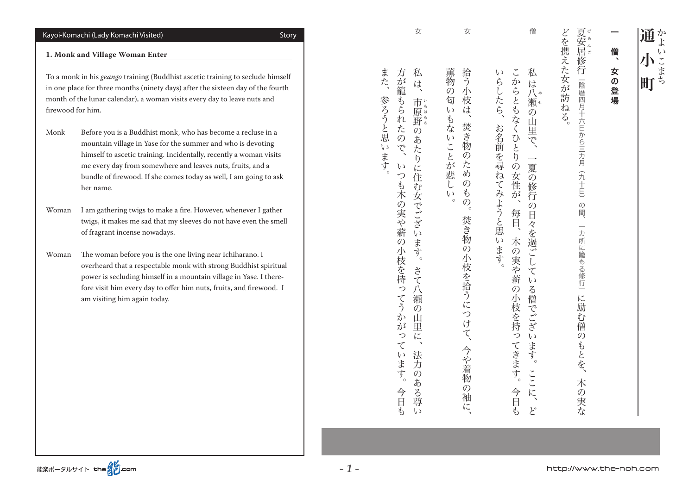# Story) Visited Komachi Lady (Komachi-Kayoi

#### **1. Monk and Village Woman Enter**

To a monk in his *geango* training (Buddhist ascetic training to seclude himself in one place for three months (ninety days) after the sixteen day of the fourth month of the lunar calendar), a woman visits every day to leave nuts and firewood for him.

- Monk Before you is a Buddhist monk, who has become a recluse in a mountain village in Yase for the summer and who is devoting himself to ascetic training. Incidentally, recently a woman visits me every day from somewhere and leaves nuts, fruits, and a bundle of firewood. If she comes today as well, I am going to ask her name.
- Woman I am gathering twigs to make a fire. However, whenever I gather twigs, it makes me sad that my sleeves do not have even the smell of fragrant incense nowadays.

Woman The woman before you is the one living near Ichiharano. I overheard that a respectable monk with strong Buddhist spiritual power is secluding himself in a mountain village in Yase. I therefore visit him every day to offer him nuts, fruits, and firewood. I am visiting him again today.

- 拾う小枝: 薫物の匂 いらしたら、 。<br>。<br>「<br>「<br>」<br>「<br> へんしゃ かいしゅう こうしゅう こうしゅう こうしゅう こうしゅう こうしゅう こうしゅう こうしゅう こうしゅう こうしゅう こうしゅう こうしゅう こうしゅう こうしゅう こうしゅう こうしゅう こうしゅう 。お名前をかけています。 おおとこ こうしょう こうしょう こうしょう こうしょう こうしょう こうしょう こうしょう こうしょう こうしょう こうしょう こうしょう  $\overline{v}$  $\tilde{l}$  $\sim$ もないことが悲し **「焚き物** お名前を尋ねてみようと思います  $\overline{\mathcal{O}}$ た め  $\mathcal{O}$  $\mathfrak{F}$  $\zeta$  $\overline{O}_{\circ}$  $\circ$ 焚き物の小枝を拾うにつけて、 `。 今や着物  $\tilde{\mathcal{O}}$ 袖 に
- 女
- こうしょう 方が籠 また、 私 今日も。いつも木の実や薪の小枝を持ってうかがっています、方が籠もられたので は、 参ろうと思います もられたので、 市 いちはん しゅうしょう 開き 野。 法人の あいきょう こうしょう こうしょう こうしょう こうしょう  $\overline{O}$ あたりに住  $\sqrt{ }$ つも木の実や薪 む女でございます。 の小枝を持  $\chi$ そ いってう 八瀬  $\mathcal{O}$ か  $\overline{\mathbf{u}}$ が 里 っ に、  $\tau$ 法  $\sqrt{ }$ います。 万の ある尊 今日も  $\iota$

女

。<br>その人は、<br>・<br>・<br>・

http://www.the-noh.com

僧

私は八

こからともなくひとりの

>女性が

每日、

私

は

と、ここに。一夏の修行の日々を過ごしている僧でございます。 ここには こうしょう

 $\overline{v}$ 

る僧でござい

.<br>ます。

 $\sqrt{11}$ 

に、

 $\mathcal{E}^*$ 

日々を過ごして

そうし ちょうしん かいしゅう こうしゅう こうしゅう こうしゅう こうしゅう こうしゅう こうしゅう こうしゅう こうしゅう こうしゅう こうしゅう こうしゅう

木の実や薪の小枝を持ってきます。

今日も

やせ

バ<br>瀬<sup>せ</sup>

 $\widetilde{\mathcal{D}}$ 

山里

 $\tilde{\zeta}$ 

 $\overline{\phantom{a}}$ 

夏の修行

 $\mathcal{O}$ 

げあんご

「陰暦四月十六日から三カ月

(九十日)

の間、

一カ所に籠もる修行」に励む僧のもとを、

木の実な

ぶねる。

通小町

小

町

通な

 $\iota$ 

こまち

女の登場、僧

女<br>の

登

瘍

僧

79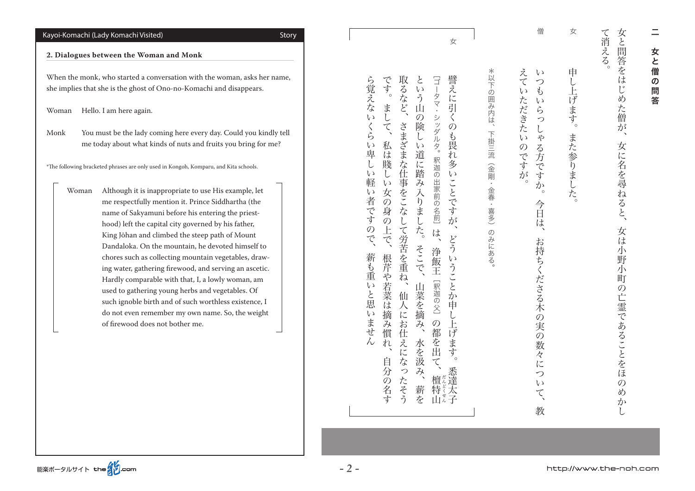# $\equiv$ 一女と言う こうしょう こうしょう こうしゃ こうしゃ アイ・プレート しゅうしゃ かんこう かんきょう かんきょう かんきょう かんきょう かんきょう かんきょう かんきょう かんきょう かんきょう かんきょう かんきょう 女  $\mathcal{L}$ 僧  $\boldsymbol{\mathcal{D}}$ 問 …<br>答

て消える。 女と問答をは 。<br>。<br>。 女は小野小町の亡霊であることをほのめかし、女に名を尋ねると、女と問答をはじめた僧が じめた僧 が  $\tilde{\phantom{a}}$ 女に名を尋ねると、 女は 小 野  $\overline{2}$ 町  $\mathcal{O}$ 亡霊であることをほ  $\mathcal{O}$ め か

- 女 申 。 し上げます。 また参りました。
- 僧 え  $\iota$  $\tau$ 。  $\mathcal{L}$ 教、お持ちくださる木の実の数々について、今日は。いつもいらっしゃる方ですか  $\downarrow$  $\iota$ ただきた  $\iota$  $5$  $\mathcal{L}$  $\mathcal{L}$  $\zeta$  )  $\overline{\mathcal{F}}$ **のですが** る方です  $\mathcal{L}$ ່ $\circ$ 今日 は、 お持ちくださる木の実の 数 々 に っ  $\iota$  $\zeta$ 教

\*以下の囲み内は、 。のみにある) きゅうしゅう こうしゅう こうしゅう こうしゅう こうしゅう こうしゅう こうしゅう こうしゅう こうしゅう こうしゅう こうしゅう こうしゅう こうしゅう 下掛三流 (金剛・金春・ 喜多)  $\mathcal{O}$ みにある

女 譬え です とい 取るなど、 [ゴータマ・ [釈迦の出家前の名前。シッダルタ・ゴータマ[ その名は、そのような人は、まして、まして。そのような人は、まして。そのような人は、まして。そのような人は、まして。そのような人は、まして。そのような人は、まして。 いたそう ふくしょう こくさま こうしゅう こくさま こうしゅう こくさま こうしゃ こうしゃ こうしゃ こうしゃ アクセス 赤を、そこで、そこで。という山の後と、そこで。という山の後と、そこで。という山の像しい道に踏み入りました。という山の像しい道に踏み入りました。という山の像しい道に踏み入りました。という山の像しい道に踏 悉達太子。どういうことか申し上げます、譬えに引くのも畏れ多いことですが  $\sim$ 、う山 に引 ま  $\mathcal{L}$  $\mathcal{O}$  $\ddot{z}$  $\langle$ -ッダル  $\tilde{\zeta}$ さまざまな仕 険  $\mathcal{O}$ じい も畏 私 歹。 「は賤 道に踏み入りま  $\overline{\mathcal{U}}$ 釈迦の出家前の名前] 多 ĩ  $\overline{V}$ 事をこ ことです  $\mathcal{U}$ 女  $\widehat{\mathcal{D}}$ 一身の な **ごした。**  $\hat{\mathcal{D}}^s$  $\mathsf{L}$ 上で、 て労苦を重ね、 は、 どう 檀、の都を出て]釈迦の父[浄飯王、は そこで、 浄飯王 根芹や若菜は摘み慣 いうことか [釈迦の父] 山菜を摘 仙人に 申 し上げます。  $\mathcal{D}$ お仕 み、 都を出て、 水を汲 n えになったそう 自分の名す 悉達太  $\widetilde{A}$ 檀特 だんどくせん 薪を 面を子

ら覚えない 薪も重いと思いません、ら覚えないくらい卑しい軽い者ですので くら  $\sqrt{ }$ 卑し  $\mathcal{U}$ 軽  $\overline{v}$ 者 **です** ので、 薪も重いと思 心はませ  $\bar{\lambda}$ 

Story) Visited Komachi Lady (Komachi-Kayoi 2. Dialogues between the Woman and Monk When the monk, who started a conversation with the woman, asks her name, she implies that she is the ghost of Ono-no-Komachi and disappears. Woman Hello. I am here again. Monk You must be the lady coming here every day. Could you kindly tell me today about what kinds of nuts and fruits you bring for me? <sup>\*</sup>The following bracketed phrases are only used in Kongoh, Komparu, and Kita schools. Woman Although it is inappropriate to use His example, let me respectfully mention it. Prince Siddhartha (the name of Sakyamuni before his entering the priesthood) left the capital city governed by his father, King Jōhan and climbed the steep path of Mount Dandaloka. On the mountain, he devoted himself to chores such as collecting mountain vegetables, drawing water, gathering firewood, and serving an ascetic. Hardly comparable with that, I, a lowly woman, am used to gathering young herbs and vegetables. Of such ignoble birth and of such worthless existence, I do not even remember my own name. So, the weight of firewood does not bother me.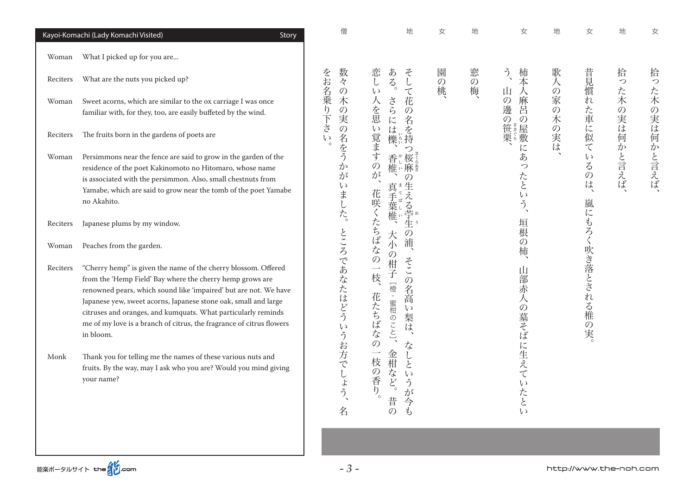|                  | Kayoi-Komachi (Lady Komachi Visited)<br>Story                                                                                                                                                                                                                                                                                                                                                                                                                                            | 僧                                                                     | 地                                                                                                                          | 女                  | 地                  | 女                                                                      | 地        | 女                                                            | 地                  | 女               |
|------------------|------------------------------------------------------------------------------------------------------------------------------------------------------------------------------------------------------------------------------------------------------------------------------------------------------------------------------------------------------------------------------------------------------------------------------------------------------------------------------------------|-----------------------------------------------------------------------|----------------------------------------------------------------------------------------------------------------------------|--------------------|--------------------|------------------------------------------------------------------------|----------|--------------------------------------------------------------|--------------------|-----------------|
| Woman            | What I picked up for you are                                                                                                                                                                                                                                                                                                                                                                                                                                                             |                                                                       |                                                                                                                            |                    |                    |                                                                        |          |                                                              |                    |                 |
| Reciters         | What are the nuts you picked up?                                                                                                                                                                                                                                                                                                                                                                                                                                                         | 数<br>々                                                                | ある。<br>恋<br>$\zeta$<br>$\mathsf{L}$<br>$\cup$                                                                              | 園<br>$\mathcal{O}$ | 窓<br>$\mathcal{O}$ | $\tilde{\gamma}$<br>柿本                                                 | 歌        | 昔見慣                                                          | 拾<br>$\mathcal{D}$ | 拾<br>$\bigcirc$ |
| Woman            | Sweet acorns, which are similar to the ox carriage I was once<br>familiar with, for they, too, are easily buffeted by the wind.                                                                                                                                                                                                                                                                                                                                                          | をお名乗り下さい<br>$\mathcal{O}$<br>木<br>$\mathcal{O}$<br>実<br>$\mathcal{O}$ | $\tau$<br>$\zeta$ )<br>人を思<br>さら<br>花<br>$\mathcal{O}$<br>名を持<br>に<br>は                                                    | 桃                  | 梅                  | 山<br>人麻呂<br>$\mathcal{O}$<br>邊<br>$\mathcal{O}$<br>$\mathcal{O}$<br>笹き | 人の家の木の実は | れた車に                                                         | た木の<br>)実は         |                 |
| Reciters         | The fruits born in the gardens of poets are                                                                                                                                                                                                                                                                                                                                                                                                                                              | 名をう<br>$\circ$                                                        | い覚ます<br>櫟                                                                                                                  |                    |                    | 屋敷<br>栗゚                                                               |          | 似て                                                           |                    |                 |
| Woman            | Persimmons near the fence are said to grow in the garden of the<br>residence of the poet Kakinomoto no Hitomaro, whose name<br>is associated with the persimmon. Also, small chestnuts from<br>Yamabe, which are said to grow near the tomb of the poet Yamabe<br>no Akahito.                                                                                                                                                                                                            | か<br>が<br>$\zeta$ )<br><b>、ました。</b>                                   | つ<br>香*,桜<br>$\overline{O}$<br>が<br>$\mathcal{O}$<br>生える<br>真<br>花咲くたちばなの<br>(手葉椎、                                         |                    |                    | にあ<br>っ<br>たと<br>$\zeta$<br>う<br>$\tilde{\phantom{a}}$                 |          | $\zeta$ )<br>$\zeta$<br>$\mathcal{O}$<br>は<br>$\lambda$<br>嵐 | 何かと言えば             | た木の実は何かと言えば、    |
| Reciters         | Japanese plums by my window.                                                                                                                                                                                                                                                                                                                                                                                                                                                             |                                                                       | 亭 * *<br>$\mathcal{O}$                                                                                                     |                    |                    | 垣<br>痕                                                                 |          |                                                              |                    |                 |
| Woman            | Peaches from the garden.                                                                                                                                                                                                                                                                                                                                                                                                                                                                 |                                                                       | 大<br>浦、<br>小                                                                                                               |                    |                    | $\mathcal{O}$<br>柿                                                     |          |                                                              |                    |                 |
| Reciters<br>Monk | "Cherry hemp" is given the name of the cherry blossom. Offered<br>from the 'Hemp Field' Bay where the cherry hemp grows are<br>renowned pears, which sound like 'impaired' but are not. We have<br>Japanese yew, sweet acorns, Japanese stone oak, small and large<br>citruses and oranges, and kumquats. What particularly reminds<br>me of my love is a branch of citrus, the fragrance of citrus flowers<br>in bloom.<br>Thank you for telling me the names of these various nuts and | ところであなたはどう<br>いうお方でしょう、                                               | の柑子<br>そこ<br>一枝、<br>$\mathcal{O}$<br>[橙・蜜柑のこと]、<br>名高<br>花たちばなの<br>$\zeta$<br>梨は、<br>$\vec{z}$<br>金柑<br>一枝<br>$\downarrow$ |                    |                    | Щ<br>部<br>赤<br>人<br>$\overline{O}$<br>墓そばに生えて                          |          | にもろく吹き落とされる椎の実。                                              |                    |                 |
|                  | fruits. By the way, may I ask who you are? Would you mind giving<br>your name?                                                                                                                                                                                                                                                                                                                                                                                                           | 名                                                                     | $\zeta$<br>3の香り。<br>ふなど。<br>$\zeta$ )<br>ら<br>が<br>昔<br>今<br>P<br>$\mathcal{O}$                                            |                    |                    | $\zeta$<br>たと<br>$\mathcal{U}$                                         |          |                                                              |                    |                 |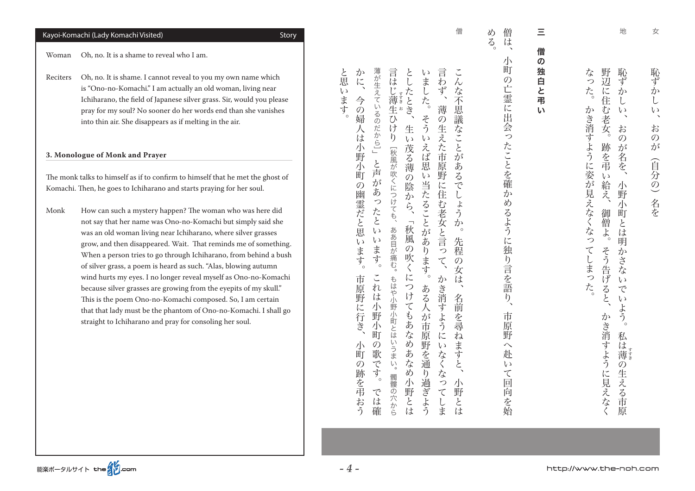### Kayoi-Komachi (Lady Komachi Visited)<br>
Story

。<br>。

Woman Oh, no. It is a shame to reveal who I am.

Reciters Oh, no. It is shame. I cannot reveal to you my own name which is "Ono-no-Komachi." I am actually an old woman, living near Ichiharano, the field of Japanese silver grass. Sir, would you please pray for my soul? No sooner do her words end than she vanishes into thin air. She disappears as if melting in the air.

#### **3. Monologue of Monk and Prayer**

The monk talks to himself as if to confirm to himself that he met the ghost of Komachi. Then, he goes to Ichiharano and starts praying for her soul.

Monk How can such a mystery happen? The woman who was here did not say that her name was Ono-no-Komachi but simply said she was an old woman living near Ichiharano, where silver grasses grow, and then disappeared. Wait. That reminds me of something. When a person tries to go through Ichiharano, from behind a bush of silver grass, a poem is heard as such. "Alas, blowing autumn wind hurts my eyes. I no longer reveal myself as Ono-no-Komachi because silver grasses are growing from the eyepits of my skull." This is the poem Ono-no-Komachi composed. So, I am certain that that lady must be the phantom of Ono-no-Komachi. I shall go straight to Ichiharano and pray for consoling her soul.

僧

と思 か  $\check{\phantom{a}}$ 薄が生えているのだから]」 言 言 としたとき  $\zeta$ ことには、これは、これは、これは、これは小野の野の野の野の こうしょく  $\tilde{k}$ …<br>ま 小町の跡を弔おう、市原野に行き。今の婦人は小野小町の幽霊だと思います、かに かんじゅう こうしゅう こうしゅう こうしゅう こうしゅう こうしゅう こうしゅう こうしゅう こうしゅう こうしゅう こうしゅう こうしゅう こうしゅう こうしゅう ある人が市原野を通り出す。そういえば思い当たることがあります。 いわず かき消すようになってしまいます。  $\lambda$ 小野とは、名前を尋ねますと、先程の女は。こんな不思議なことがあるでしょうか  $\overline{L}$ な不思議な  $\iota$ .<br>ます  $\breve{\mathcal{F}}_{c}$ 今 **i** 薄  $\mathcal{O}$ コエ 1 .<br>婦 そう  $\ddot{\odot}$ 生 ご生え 髑髏の穴から。もはや小野小町とはいうまい。ああ目が痛む、秋風が吹くにつけても[ひけり け 人 は  $\mathfrak{h}$ <u>V</u>  $\tilde{\cdot}$  $\overline{v}$ **た市原** えば思い ことが 小野 - 茂る薄 [秋風が吹くにつけても、 と<br>声 示 こあ 町 野  $\ddot{\odot}$  $\overline{z}$ が<br>あ  $\mathcal{O}$ 陰 当たることがあ に住む老女と言っ  $\widetilde{C}$ 幽霊だと思  $\mathcal{L}$ か っった ら  $\downarrow$  $\tilde{2}$ 「秋風 と か ああ目が痛む。  $\sqrt{2}$ ۰.  $\iota$ 先  $\zeta$ ·ます。 (の吹く ・ます  $\tilde{b}$ 每 ます  $\tau$  $\mathcal{O}$ ່ $\circ$ 女  $\zeta$ に  $\mathcal{L}_{\alpha}$ かき消 もはや小野小町とは 市 は 一原野 つけ ある人が市 名 は 7に行き 小野 てもあな  $\ddot{\tau}$ 前 ふう …を尋 小 町 原 亡  $\tilde{t}$ 『野を通  $\cup$ めあなめ  $\mathcal{U}$ 小  $\mathcal{O}$ ま うまい 町 歌 なく 寸  $\tilde{\tau}$  $\mathcal{O}$ と 海を弔. 寸  $\overline{b}$ な 髑髏の穴から  $\degree$  o 小野 過ぎよう  $\overline{z}$ 小 で  $\tau$ 野 つとは おう は しま と 確 は

d) 僧  $\ddot{\delta}$ 市局には、小町の亡霊に出会ったことを結ぶ、小町の亡霊に出会ったことを指し、小町の亡霊に出会ったことを指し、小町の亡霊に出会ったことを指し、小町の亡霊に出会ったことを結んだ。 は

小

町

 $\mathcal{O}$ 

亡霊に出

会ったことを確

 $\overline{\psi}$ 

め

るよう

に独り言を語

う

市

原

野

 $\curvearrowright$ 

赴

 $\epsilon$   $\sqrt{}$ 

 $\tau$ 

回

向

・を始

三僧の独白と弔い

Ξ

僧

の

独

二白と

弔

 $\mathbf{L}$ 

( )目と アーリ こくこん アーバー パンパン 恥ず か L  $\iota$ お  $\mathcal{O}$ が (自分の) 名を

女

地

 $\bigwedge$ 

野辺 恥ず

に

な

っ

まこ ターバ こく フラン・ノ島ノ市 一 はま ごうせい パー・ライマ かき おおおく かきかく かんしゅう かんしゅう かんしゅう かんしゅう かんしゅう かんしゅう かんしゅう かんしゅう かんしゅう かんしゅう かんしゅう かんしゅう た。 住  $\mathcal{L}$ か 订  $\iota$ 老 き消すように姿が見えなくなっ 安 お  $\mathcal{O}$ 跡を弔 が  $\ddot{z}$ を、  $\iota$ 給え、 小 野 示 御 町 僧 こは  $\ddot{\mathcal{L}}$ 明 そう告げると、 てしまっ  $\overline{\mathcal{D}}$ こさな  $\iota$ た  $\widetilde{C}$  $\omega$ ・よう かき消  $\mathcal{L}_{\circ}$ 私 は すよう 薄 **i**  $\overline{O}$ 生 の生える市原 に見えなく える市原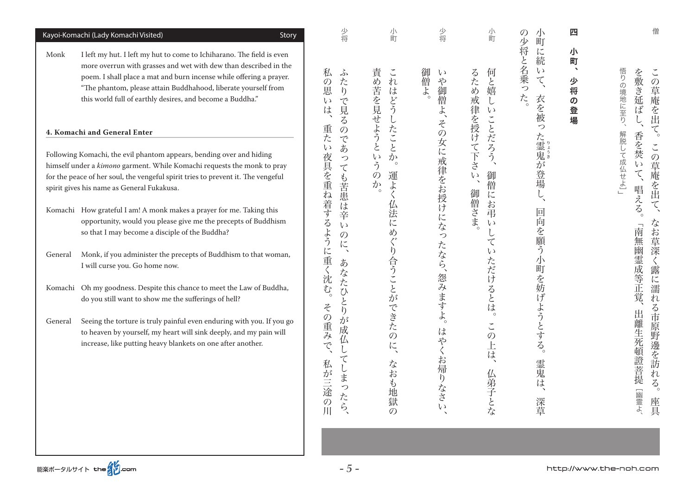|         | Kayoi-Komachi (Lady Komachi Visited)<br>Story                                                                                                                                                                                                                                                                                                   | 少将                                                                                     | 小町                                                                                          | 少将                                                 | 小町                                                                                  | 小<br>N<br>町<br>少                                              | 四                                                                    |                                         |
|---------|-------------------------------------------------------------------------------------------------------------------------------------------------------------------------------------------------------------------------------------------------------------------------------------------------------------------------------------------------|----------------------------------------------------------------------------------------|---------------------------------------------------------------------------------------------|----------------------------------------------------|-------------------------------------------------------------------------------------|---------------------------------------------------------------|----------------------------------------------------------------------|-----------------------------------------|
| Monk    | I left my hut. I left my hut to come to Ichiharano. The field is even<br>more overrun with grasses and wet with dew than described in the<br>poem. I shall place a mat and burn incense while offering a prayer.<br>"The phantom, please attain Buddhahood, liberate yourself from<br>this world full of earthly desires, and become a Buddha." | 私<br>ふ<br>た<br>$\mathcal{O}$<br>思<br>$\mathfrak{h}$<br>$\widetilde{C}$<br>L)<br>見<br>は | 責<br>$\check{\phantom{a}}$<br>め苦を見せよう<br>れ<br>にはどう                                          | 御<br>$\iota$<br>僧よ<br>や御僧よ、                        | るため<br>何<br>こと嬉<br>戒<br>$\downarrow$<br>$\zeta$                                     | 将<br>に<br>2と名乗<br>続<br>$\zeta$<br>$\tau$<br>つ<br>た。<br>衣<br>を | 小<br>町<br>$\rightarrow$<br>少<br>将<br>$\boldsymbol{\mathcal{D}}$<br>登 | 悟りの境地に至り、<br>を敷き延ば                      |
|         | 4. Komachi and General Enter                                                                                                                                                                                                                                                                                                                    | る<br>重た<br>$\mathcal{O}$                                                               | たこ                                                                                          | その                                                 |                                                                                     | っ                                                             | 場                                                                    | 解脱                                      |
|         | Following Komachi, the evil phantom appears, bending over and hiding<br>himself under a kimono garment. While Komachi requests the monk to pray<br>for the peace of her soul, the vengeful spirit tries to prevent it. The vengeful<br>spirit gives his name as General Fukakusa.                                                               | $\tilde{\mathcal{C}}$<br>あ<br>$\epsilon$<br>夜具を重ね着する<br>つ<br>$\tau$                    | $\overline{\mathcal{L}}$<br>と<br>$\zeta$ )<br>か<br>う<br>$\circ$<br>運よ<br>$\mathcal{O}$<br>か | 女に<br>戒律をお授けにな                                     | 律を授けて下<br>ことだろう<br>$\tilde{\phantom{a}}$<br>$\frac{1}{2}$<br>御<br>L)<br>僧<br>御<br>に | た霊鬼が登場                                                        |                                                                      | 香を焚<br>U<br>て成仏せよ」<br>$\iota$<br>$\tau$ |
|         | Komachi How grateful I am! A monk makes a prayer for me. Taking this<br>opportunity, would you please give me the precepts of Buddhism<br>so that I may become a disciple of the Buddha?                                                                                                                                                        | も苦患は辛<br>$\zeta$<br>よう<br>$\mathcal{O}$                                                | 法<br>に<br>め                                                                                 | つ                                                  | <b>st僧さま。</b><br>お<br>弔<br>$\zeta$<br>て                                             | 回向を願う                                                         |                                                                      | 唱える。<br>南                               |
| General | Monk, if you administer the precepts of Buddhism to that woman,<br>I will curse you. Go home now.                                                                                                                                                                                                                                               | に<br>に<br>$\boldsymbol{\lambda}$<br>重く沈<br>あ                                           |                                                                                             | たなら、                                               | ( J                                                                                 | 小                                                             |                                                                      | 無幽霊成等正覚、                                |
|         | Komachi Oh my goodness. Despite this chance to meet the Law of Buddha,<br>do you still want to show me the sufferings of hell?                                                                                                                                                                                                                  | ぶなた<br>$\overline{\mathcal{L}_{\circ}^{0}}$<br>ひと<br>Z                                 | 合うことが                                                                                       | 怨みますよ                                              | ただけるとは                                                                              |                                                               |                                                                      |                                         |
| General | Seeing the torture is truly painful even enduring with you. If you go<br>to heaven by yourself, my heart will sink deeply, and my pain will<br>increase, like putting heavy blankets on one after another.                                                                                                                                      | $\eta$<br>の重み<br>が<br>成<br>$\hat{\mathcal{L}}$<br>で<br>て<br>私<br>しま<br>が三途の川<br>ったら、   | できた<br>$\mathcal{O}$<br>に<br>な<br>お<br>$\mathfrak{P}$<br>地獄<br>$\mathcal{O}$                | $\circ$<br>は<br>や<br>お帰<br>$\eta$<br>なさ<br>$\iota$ | $\circ$<br>$\tilde{\phantom{a}}$<br>$\mathcal{O}$<br>Ŀ<br>は<br>仏弟子とな                | 町を妨げようとする。<br>霊<br>鬼<br>ほ<br>深草                               |                                                                      | 出<br>離生死頓證菩提<br>「幽霊よ                    |

僧

この草庵を出て。

この草庵を出て、

屋根。さかは、この草庵を出てる市原野邊を出てる。この草庵を出てる市原野邊を出てる。この草庵を出てる市原野邊を出てる。この草庵を出てる市原野邊を出てる。この草庵を出てる市原野邊を出てる。この草庵を出てる

なお草深く露に濡れる市原野邊を訪れる。

座具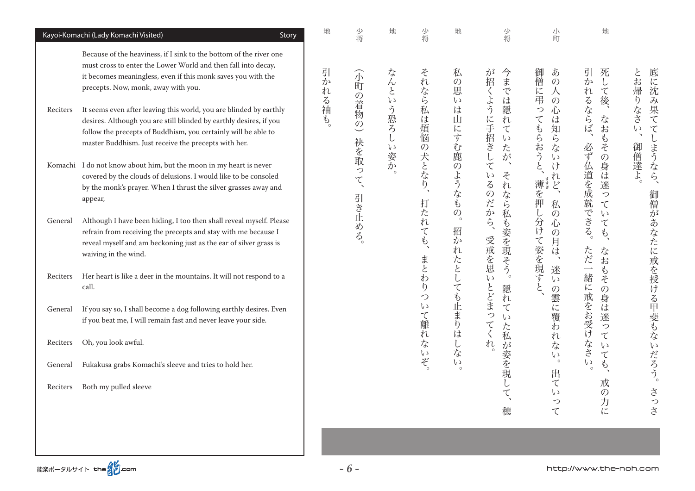| Kayoi-Komachi (Lady Komachi Visited)<br>Story                                                                                                                                                                                                                                  | 地      | 少将                    | 地                      | 少将                          | 地                         | 少将                                                                                       | 小町                                                                              | 地                                                                      |                                        |
|--------------------------------------------------------------------------------------------------------------------------------------------------------------------------------------------------------------------------------------------------------------------------------|--------|-----------------------|------------------------|-----------------------------|---------------------------|------------------------------------------------------------------------------------------|---------------------------------------------------------------------------------|------------------------------------------------------------------------|----------------------------------------|
| Because of the heaviness, if I sink to the bottom of the river one<br>must cross to enter the Lower World and then fall into decay,<br>it becomes meaningless, even if this monk saves you with the<br>precepts. Now, monk, away with you.                                     | 引<br>か | 介町<br>$\overline{O}$  |                        |                             | 私<br>$\mathcal{O}$<br>恵   | が<br>今までは<br>招くよう                                                                        | 御<br>あ<br>僧<br>$\mathcal{O}$<br>に<br>人                                          | 引<br>死<br>か<br>$\mathsf{L}$<br>れ<br>$\boldsymbol{\tau}$                | 底に沈み果て<br>とお<br>帰                      |
| It seems even after leaving this world, you are blinded by earthly<br>Reciters<br>desires. Although you are still blinded by earthly desires, if you<br>follow the precepts of Buddhism, you certainly will be able to<br>master Buddhism. Just receive the precepts with her. | れる袖も。  | 着物の)                  | なんという恐ろ<br>$\tilde{L}$ | それなら私は煩悩                    | $\epsilon$ $\sqrt{}$<br>は | 隠<br>に手招きして<br>れ<br>$\boldsymbol{\tau}$<br>$\epsilon$ y<br>た                             | 弔<br>$\mathcal{O}$<br>つ<br>心<br>$\boldsymbol{\tau}$<br>は<br>もらおう<br>知<br>ら<br>な | 後、<br>るならば、<br>$\vec{z}$<br>お<br>$\mathcal{L}$<br>必ず<br>$\ddot{\zeta}$ | りなさ<br>てしまうなら、<br>$\zeta$<br>$\lambda$ |
| Komachi I do not know about him, but the moon in my heart is never<br>covered by the clouds of delusions. I would like to be consoled<br>by the monk's prayer. When I thrust the silver grasses away and<br>appear,                                                            |        | 袂を取っ<br>$\tau$<br>引き止 | こい姿か<br>$\circ$        | の犬となり、                      | 山にすむ鹿のようなもの。              | が<br>$\boldsymbol{\gamma}$<br>z<br>$\epsilon$ $\sqrt$<br>るのだから、<br>$\overline{n}$<br>なら私 | $\iota$<br>$\acute{\xi}$<br>け<br>れ<br>薄を押、<br>$\ddot{\mathcal{E}}$<br>私         | $\mathcal{O}$<br>3身は迷<br>仏道を成就<br>っ<br>$\tau$                          | 御僧達よ。                                  |
| Although I have been hiding, I too then shall reveal myself. Please<br>General<br>refrain from receiving the precepts and stay with me because I<br>reveal myself and am beckoning just as the ear of silver grass is<br>waiving in the wind.                                  |        | ある。                   |                        | 打たれても、                      | 招かれたとしても止まりはしな            | も姿を現そう。<br>受戒を思                                                                          | $\mathsf{L}% _{T}$<br>$\overline{O}$<br>分けて姿を現すと<br>心<br>の月は、                   | できる。<br>$\zeta$<br>$\boldsymbol{\tau}$<br>$\phi$<br>ただ一<br>なお          | 御僧があなたに戒を授ける甲斐もないだろう。                  |
| Her heart is like a deer in the mountains. It will not respond to a<br>Reciters<br>call.                                                                                                                                                                                       |        |                       |                        | まとわ<br>$\ddot{\theta}$<br>つ |                           | $\epsilon$ y<br>隠<br>れ                                                                   | 迷<br>$\iota$                                                                    | $\mathcal{P}$<br>緒<br>その<br>に<br>身                                     |                                        |
| If you say so, I shall become a dog following earthly desires. Even<br>General<br>if you beat me, I will remain fast and never leave your side.                                                                                                                                |        |                       |                        | $\zeta$<br>て離               |                           | とどまっ<br>$\boldsymbol{\tau}$<br>$\epsilon$ $\sqrt{}$<br>$\tau$<br>た                       | の雲に覆わ                                                                           | 戒をお受け<br>ほ<br>迷<br>っ                                                   |                                        |
| Oh, you look awful.<br>Reciters                                                                                                                                                                                                                                                |        |                       |                        | れ<br>な<br>$\zeta$ )         |                           | くれ。<br>私                                                                                 | れ<br>な<br>$\epsilon$ y                                                          | $\tau$<br>えささ<br>$\iota$<br>$\tau$                                     |                                        |
| Fukakusa grabs Komachi's sleeve and tries to hold her.<br>General                                                                                                                                                                                                              |        |                       |                        | ぞ。                          | $\zeta$ ) $\circ$         | が姿を現                                                                                     | $\circ$<br>出                                                                    | $\zeta$ )<br>$\phi$<br>$\circ$                                         |                                        |
| Both my pulled sleeve<br>Reciters                                                                                                                                                                                                                                              |        |                       |                        |                             |                           | $\zeta$                                                                                  | $\tau$<br>$\epsilon$ y<br>つ                                                     | 戒<br>$\mathcal{O}$<br>力に                                               | さっさ                                    |
|                                                                                                                                                                                                                                                                                |        |                       |                        |                             |                           | 穂                                                                                        | $\tau$                                                                          |                                                                        |                                        |

能楽ポータルサイト the 2000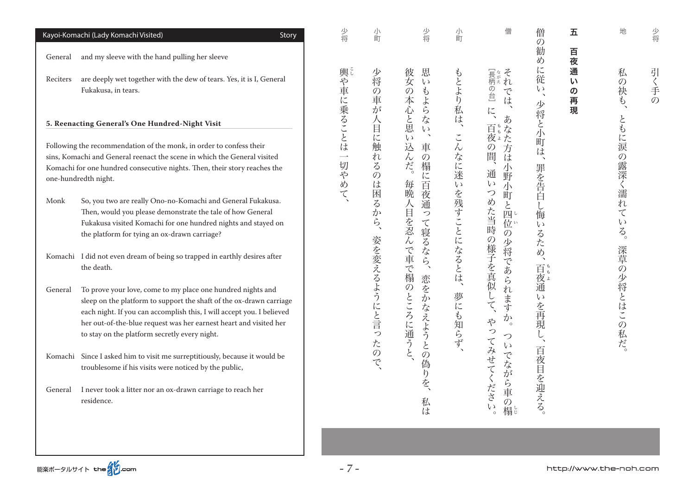| Kayoi-Komachi (Lady Komachi Visited)<br>Story                                                                                                                                                                                                                                                                                                | 少将                                      | 小町                                 | 少将                                                                                          | 小町                 | 僧                                                                             | 僧<br>の                                       | 五                                   | 地                                              | 少将   |
|----------------------------------------------------------------------------------------------------------------------------------------------------------------------------------------------------------------------------------------------------------------------------------------------------------------------------------------------|-----------------------------------------|------------------------------------|---------------------------------------------------------------------------------------------|--------------------|-------------------------------------------------------------------------------|----------------------------------------------|-------------------------------------|------------------------------------------------|------|
| and my sleeve with the hand pulling her sleeve<br>General                                                                                                                                                                                                                                                                                    |                                         |                                    |                                                                                             |                    |                                                                               | 勧<br>め                                       | 百<br>夜                              |                                                |      |
| are deeply wet together with the dew of tears. Yes, it is I, General<br>Reciters<br>Fukakusa, in tears.                                                                                                                                                                                                                                      | 輿や車                                     | 少将<br>$\mathcal{O}$<br>車<br>が      | 思<br>彼<br>女の本心と思<br>$\iota$<br>$\mathring{\mathcal{C}}$<br>こよら                              | もとより私は             | [長柄の台]<br>では<br>$l\zeta$                                                      | に従<br>$\epsilon$ )<br>$\boldsymbol{\lambda}$ | 通<br>い<br>$\pmb{\mathcal{O}}$<br>再現 | 私<br>$\mathcal{O}$<br>袂<br>$\hat{P}$           | 引く手の |
| 5. Reenacting General's One Hundred-Night Visit                                                                                                                                                                                                                                                                                              | に乗ることは                                  | E                                  | $\mathcal{F}_{\mathcal{S}}$<br>$\zeta$                                                      |                    | あ                                                                             |                                              |                                     |                                                |      |
| Following the recommendation of the monk, in order to confess their<br>sins, Komachi and General reenact the scene in which the General visited<br>Komachi for one hundred consecutive nights. Then, their story reaches the<br>one-hundredth night.                                                                                         | $\overline{\phantom{a}}$<br>切<br>や<br>め | に触<br>れ<br>る<br>$\mathcal{O}$<br>は | $\boldsymbol{\lambda}$<br>$\epsilon$ $\sqrt{}$<br>込ん<br>車<br>$\mathcal{O}$<br>だ。<br>榻<br>に百 | こんなに迷<br>$\zeta$ ) | 百ち<br>なた方は<br>$\mathcal{O}$<br>間、<br>小<br>通<br>野<br>$\zeta$ )<br>小            | 少将と小町は<br>$\blacktriangledown$<br>罪を告白       |                                     | ともに涙<br>$\mathcal{O}$<br>露深く濡                  |      |
| So, you two are really Ono-no-Komachi and General Fukakusa.<br>Monk<br>Then, would you please demonstrate the tale of how General<br>Fukakusa visited Komachi for one hundred nights and stayed on<br>the platform for tying an ox-drawn carriage?                                                                                           | て                                       | 困<br>$\zeta$<br>か<br>$\zeta$       | 毎晩人目を忍んで車で榻<br>哀通<br>っ<br>て寝るなら、                                                            | を残すことになるとは、        | $\bigcirc$<br>町<br>めた当時の様子を真似して、<br>$\mathcal{L}$<br>四<br>位い<br>$\mathcal{O}$ | ·し<br>悔<br>$\zeta$ )<br><b>るため、</b>          |                                     | 抗<br>$\tau$<br>$\zeta$ )<br>$\zeta$<br>$\circ$ |      |
| Komachi I did not even dream of being so trapped in earthly desires after<br>the death.                                                                                                                                                                                                                                                      |                                         |                                    | 恋                                                                                           |                    | 少将であられます                                                                      | 百夜通                                          |                                     | 深草の                                            |      |
| To prove your love, come to my place one hundred nights and<br>General<br>sleep on the platform to support the shaft of the ox-drawn carriage<br>each night. If you can accomplish this, I will accept you. I believed<br>her out-of-the-blue request was her earnest heart and visited her<br>to stay on the platform secretly every night. |                                         | 姿を変えるようにと言っ<br>たの                  | $\mathcal{O}$<br>を<br>ところに通うと<br>か<br>なえようと                                                 | 夢にも知らず、            | か<br>やっ<br>$\circ$<br>つ<br>$\zeta$ )                                          | いを再現                                         |                                     | 少将とはこの私だ。                                      |      |
| Komachi Since I asked him to visit me surreptitiously, because it would be<br>troublesome if his visits were noticed by the public,                                                                                                                                                                                                          |                                         | で                                  | の偽<br>h                                                                                     |                    | てみせてください<br>でなが                                                               |                                              |                                     |                                                |      |
| I never took a litter nor an ox-drawn carriage to reach her<br>General<br>residence.                                                                                                                                                                                                                                                         |                                         |                                    | を<br>私<br>は                                                                                 |                    | ら車<br>$\mathcal{O}$<br>榻じ                                                     | 百夜目を迎える。                                     |                                     |                                                |      |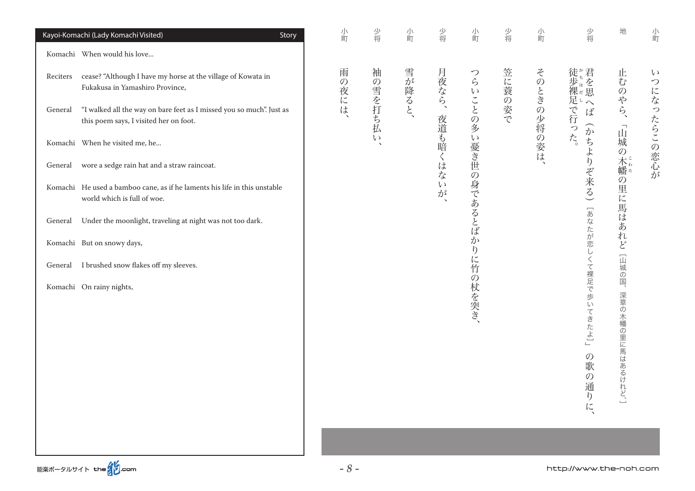|          | Kayoi-Komachi (Lady Komachi Visited)<br>Story                                                                  | 小町                 | 少将      | 小町     | 少将                                                     | 小町             | 少将     | 小町         | 少将                                                                                  | 地                                    | 小町                    |
|----------|----------------------------------------------------------------------------------------------------------------|--------------------|---------|--------|--------------------------------------------------------|----------------|--------|------------|-------------------------------------------------------------------------------------|--------------------------------------|-----------------------|
|          | Komachi When would his love                                                                                    |                    |         |        |                                                        |                |        |            |                                                                                     |                                      |                       |
| Reciters | cease? "Although I have my horse at the village of Kowata in<br>Fukakusa in Yamashiro Province,                | 雨<br>$\mathcal{O}$ | 袖       | 雪が降ると、 | 月夜なら、                                                  |                | 笠に蓑の姿で |            | 徒歩裸足で行ったます                                                                          | 止<br>む<br>$\mathcal{O}$              | $\iota$<br>$\bigcirc$ |
| General  | "I walked all the way on bare feet as I missed you so much". Just as<br>this poem says, I visited her on foot. | 夜には、               | の雪を打ち払い |        |                                                        | つらいことの多        |        | そのときの少将の姿は | $\sum_{i=1}^{n}$                                                                    | らら、<br>$\overline{\phantom{a}}$<br>Щ | になったらこの恋心が            |
|          | Komachi When he visited me, he                                                                                 |                    |         |        | 夜道も暗く                                                  |                |        |            | いった。<br>ちよ                                                                          |                                      |                       |
| General  | wore a sedge rain hat and a straw raincoat.                                                                    |                    |         |        | は<br>$\overline{z}$                                    |                |        |            | $\mathfrak h$                                                                       |                                      |                       |
|          | Komachi He used a bamboo cane, as if he laments his life in this unstable<br>world which is full of woe.       |                    |         |        | $\epsilon$ $\sqrt{ }$<br>が<br>$\overline{\phantom{a}}$ | い憂き世の身であるとばか   |        |            | ぞ来る)                                                                                | 城の木幡の里に馬はあれど「山城の国、                   |                       |
| General  | Under the moonlight, traveling at night was not too dark.                                                      |                    |         |        |                                                        |                |        |            | 「あなたが恋し                                                                             |                                      |                       |
|          | Komachi But on snowy days,                                                                                     |                    |         |        |                                                        | $\mathfrak{h}$ |        |            |                                                                                     |                                      |                       |
|          | General I brushed snow flakes off my sleeves.                                                                  |                    |         |        |                                                        |                |        |            |                                                                                     |                                      |                       |
|          | Komachi On rainy nights,                                                                                       |                    |         |        |                                                        | に竹の杖を突き、       |        |            | くて裸足で歩<br>$\overline{U}$<br>てきたよ」<br>$\mathcal{O}$<br>歌<br>$\mathcal{O}$<br>通<br>りに | 深草の木幡の里に馬はあるけれど、]                    |                       |
|          |                                                                                                                |                    |         |        |                                                        |                |        |            |                                                                                     |                                      |                       |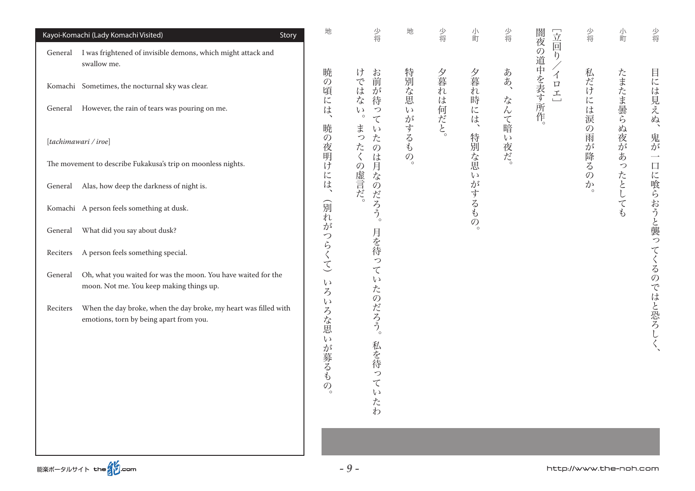| Kayoi-Komachi (Lady Komachi Visited)<br>Story                                                                           | 地                       | 少将                                                                  | 地                                | 少将       | 小町        | 少将                | 立回り                          | 少将                    | 小町              | 少将                                 |
|-------------------------------------------------------------------------------------------------------------------------|-------------------------|---------------------------------------------------------------------|----------------------------------|----------|-----------|-------------------|------------------------------|-----------------------|-----------------|------------------------------------|
| General I was frightened of invisible demons, which might attack and<br>swallow me.                                     |                         |                                                                     |                                  |          |           |                   | 闇夜の道中を表す所作。                  |                       |                 |                                    |
| Komachi Sometimes, the nocturnal sky was clear.                                                                         | 暁<br>$\mathcal{O}$<br>頃 | け<br>お前<br>ではな<br>が                                                 |                                  | 夕暮れは何だと。 | 夕暮れ時には、   | ああ、               | $\mathcal{A}$<br>$\Box$<br>王 | 私だけには涙                | たまたま曇らぬ夜が       | 目には見えぬ、                            |
| General However, the rain of tears was pouring on me.                                                                   | (には、                    | 待<br>$\mathop{\mathcal{C}}\limits_\circ$<br>$\mathcal{L}$<br>$\tau$ |                                  |          |           | なんて暗              |                              |                       |                 |                                    |
| [tachimawari / iroe]                                                                                                    | 暁                       | まったく<br>$\iota$<br>$\overline{z}$<br>$\mathcal{O}$                  | 特別な思いがするも                        |          | 特別な思      | $\zeta$ )<br>.夜だ。 |                              | の雨                    |                 | 鬼が                                 |
| The movement to describe Fukakusa's trip on moonless nights.                                                            | の夜明けには、                 | は                                                                   | $\overline{\mathcal{O}}_{\circ}$ |          |           |                   |                              | :が降る<br>$\mathcal{O}$ | あ<br>$\bigcirc$ | $\overline{\phantom{a}}$<br>$\Box$ |
| General Alas, how deep the darkness of night is.                                                                        |                         | の虚言だ。<br>月なのだろう。                                                    |                                  |          | $\zeta$ ) |                   |                              | か                     | たとしても           |                                    |
| Komachi A person feels something at dusk.                                                                               | 創れ                      |                                                                     |                                  |          | がするもの。    |                   |                              |                       |                 |                                    |
| What did you say about dusk?<br>General                                                                                 |                         |                                                                     |                                  |          |           |                   |                              |                       |                 |                                    |
| A person feels something special.<br>Reciters                                                                           | がつらくて)                  | 月を待って                                                               |                                  |          |           |                   |                              |                       |                 |                                    |
| Oh, what you waited for was the moon. You have waited for the<br>General<br>moon. Not me. You keep making things up.    | $\zeta$ )               | $\epsilon$ y                                                        |                                  |          |           |                   |                              |                       |                 |                                    |
| When the day broke, when the day broke, my heart was filled with<br>Reciters<br>emotions, torn by being apart from you. | ろいろな思<br>いが募るもの。        | たのだろう。<br>私を待っ<br>$\tau$<br>いたわ                                     |                                  |          |           |                   |                              |                       |                 | に喰らおうと襲ってくるのではと恐ろしく、               |
|                                                                                                                         |                         |                                                                     |                                  |          |           |                   |                              |                       |                 |                                    |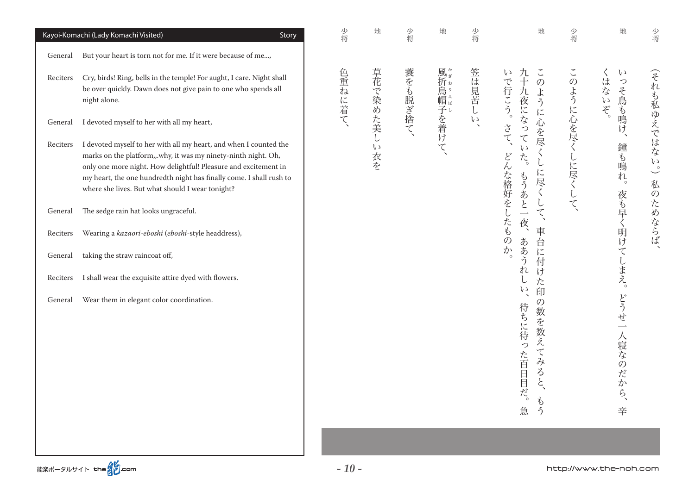|          | Kayoi-Komachi (Lady Komachi Visited)<br>Story                                                                                                                                                                                                                                                                                     | 少将     | 地               | 少将      | 地         | 少将      | 地                                                                                              | 少将        | 地                                        | 少将                                     |
|----------|-----------------------------------------------------------------------------------------------------------------------------------------------------------------------------------------------------------------------------------------------------------------------------------------------------------------------------------|--------|-----------------|---------|-----------|---------|------------------------------------------------------------------------------------------------|-----------|------------------------------------------|----------------------------------------|
| General  | But your heart is torn not for me. If it were because of me,                                                                                                                                                                                                                                                                      |        |                 |         |           |         |                                                                                                |           |                                          |                                        |
| Reciters | Cry, birds! Ring, bells in the temple! For aught, I care. Night shall<br>be over quickly. Dawn does not give pain to one who spends all<br>night alone.                                                                                                                                                                           | 色重ねに着て | 草花で染めた美し        | 蓑をも脱ぎ捨て | 風折烏帽子を着けて | 笠は見苦し   | $\check{\phantom{a}}$<br>$\zeta$<br>九十九夜になって<br>で行こう。<br>$\mathcal{O}$<br>ように心を尽く              | このように心を尽く | $\zeta$ )<br>$\zeta$<br>はないぞ。<br>っそ鳥も鳴け、 | (それも私ゆえではな                             |
| General  | I devoted myself to her with all my heart,                                                                                                                                                                                                                                                                                        |        |                 |         |           | $\iota$ | さて、                                                                                            |           |                                          |                                        |
| Reciters | I devoted myself to her with all my heart, and when I counted the<br>marks on the platform,,.why, it was my ninety-ninth night. Oh,<br>only one more night. How delightful! Pleasure and excitement in<br>my heart, the one hundredth night has finally come. I shall rush to<br>where she lives. But what should I wear tonight? |        | $\zeta$ )<br>衣を |         |           |         | $\mathfrak{c}$<br>どんな格好をしたものか。<br>$\mathcal{X}_{\mathsf{C}}$<br>$\cup$<br>に尽く<br>もうあ           | しに尽くして    | 鐘も鳴れ。                                    | $\begin{pmatrix} 2 \\ 3 \end{pmatrix}$ |
| General  | The sedge rain hat looks ungraceful.                                                                                                                                                                                                                                                                                              |        |                 |         |           |         | $\cup$<br>$\tilde{\mathcal{L}}$<br>て<br>$\overline{\phantom{a}}$                               |           |                                          | 私のためならば                                |
| Reciters | Wearing a kazaori-eboshi (eboshi-style headdress),                                                                                                                                                                                                                                                                                |        |                 |         |           |         | 夜、<br>車<br>台                                                                                   |           |                                          |                                        |
| General  | taking the straw raincoat off,                                                                                                                                                                                                                                                                                                    |        |                 |         |           |         | ああう<br>に<br>付                                                                                  |           | 夜も早く明けてしまえ。                              |                                        |
| Reciters | I shall wear the exquisite attire dyed with flowers.                                                                                                                                                                                                                                                                              |        |                 |         |           |         | れ<br>け<br>L<br>た                                                                               |           |                                          |                                        |
| General  | Wear them in elegant color coordination.                                                                                                                                                                                                                                                                                          |        |                 |         |           |         | $\iota$<br>印<br>$\mathcal{O}$<br>待ちに待った百日目だ。<br>数<br>を数え<br>て<br>みると、<br>P<br>急<br>$\tilde{2}$ |           | どうせ一<br>人寝なのだから、<br>辛                    |                                        |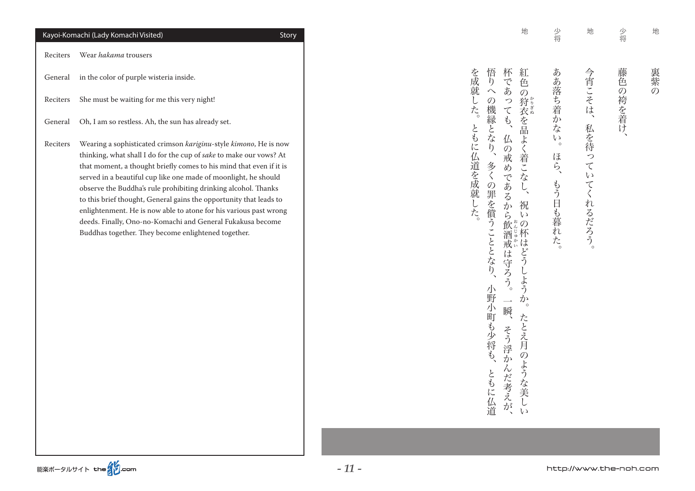|          | Kayoi-Komachi (Lady Komachi Visited)                                                                                                                                                                                                                                                                                                                                                                                                                                                                                                                                                                               | Story |
|----------|--------------------------------------------------------------------------------------------------------------------------------------------------------------------------------------------------------------------------------------------------------------------------------------------------------------------------------------------------------------------------------------------------------------------------------------------------------------------------------------------------------------------------------------------------------------------------------------------------------------------|-------|
| Reciters | Wear <i>hakama</i> trousers                                                                                                                                                                                                                                                                                                                                                                                                                                                                                                                                                                                        |       |
| General  | in the color of purple wisteria inside.                                                                                                                                                                                                                                                                                                                                                                                                                                                                                                                                                                            |       |
| Reciters | She must be waiting for me this very night!                                                                                                                                                                                                                                                                                                                                                                                                                                                                                                                                                                        |       |
| General  | Oh, I am so restless. Ah, the sun has already set.                                                                                                                                                                                                                                                                                                                                                                                                                                                                                                                                                                 |       |
| Reciters | Wearing a sophisticated crimson kariginu-style kimono, He is now<br>thinking, what shall I do for the cup of sake to make our vows? At<br>that moment, a thought briefly comes to his mind that even if it is<br>served in a beautiful cup like one made of moonlight, he should<br>observe the Buddha's rule prohibiting drinking alcohol. Thanks<br>to this brief thought, General gains the opportunity that leads to<br>enlightenment. He is now able to atone for his various past wrong<br>deeds. Finally, Ono-no-Komachi and General Fukakusa become<br>Buddhas together. They become enlightened together. |       |

| 少将 | 藤色の袴を着け、                                                                       |
|----|--------------------------------------------------------------------------------|
| 地  | 今宵こそは、私を待っていてくれるだろう。                                                           |
| 少将 | ああ落ち着かない。ほら、もう日も暮れた。                                                           |
| 地  | 杯であっても、仏の戒めであるから飲酒戒は守ろう。一瞬、そう浮かんだ考えが、<br>紅色の狩衣を品よく着こなし、祝いの杯はどうしようか。たとえ月のような美しい |
|    | を成就した。ともに仏道を成就した。<br>悟りへの機縁となり、多くの罪を償うこととなり、小野小町も少将も、ともに仏道                     |

地

裏紫の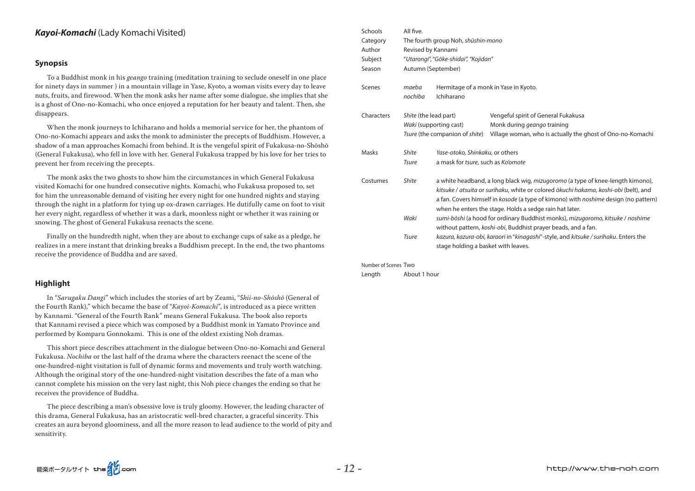# Kayoi-Komachi (Lady Komachi Visited)

#### **Synopsis**

To a Buddhist monk in his *geango* training (meditation training to seclude oneself in one place for ninety days in summer) in a mountain village in Yase, Kyoto, a woman visits every day to leave nuts, fruits, and firewood. When the monk asks her name after some dialogue, she implies that she is a ghost of Ono-no-Komachi, who once enjoyed a reputation for her beauty and talent. Then, she disappears.

When the monk journeys to Ichiharano and holds a memorial service for her, the phantom of Ono-no-Komachi appears and asks the monk to administer the precepts of Buddhism. However, a shadow of a man approaches Komachi from behind. It is the vengeful spirit of Fukakusa-no-Shōshō (General Fukakusa), who fell in love with her. General Fukakusa trapped by his love for her tries to prevent her from receiving the precepts.

The monk asks the two ghosts to show him the circumstances in which General Fukakusa visited Komachi for one hundred consecutive nights. Komachi, who Fukakusa proposed to, set for him the unreasonable demand of visiting her every night for one hundred nights and staying through the night in a platform for tying up ox-drawn carriages. He dutifully came on foot to visit her every night, regardless of whether it was a dark, moonless night or whether it was raining or snowing. The ghost of General Fukakusa reenacts the scene.

Finally on the hundredth night, when they are about to exchange cups of sake as a pledge, he realizes in a mere instant that drinking breaks a Buddhism precept. In the end, the two phantoms receive the providence of Buddha and are saved.

## **Highlight**

In "Sarugaku Dangi" which includes the stories of art by Zeami, "Shii-no-Shōshō (General of the Fourth Rank)," which became the base of "Kayoi-Komachi", is introduced as a piece written by Kannami. "General of the Fourth Rank" means General Fukakusa. The book also reports that Kannami revised a piece which was composed by a Buddhist monk in Yamato Province and performed by Komparu Gonnokami. This is one of the oldest existing Noh dramas.

This short piece describes attachment in the dialogue between Ono-no-Komachi and General Fukakusa. *Nochiba* or the last half of the drama where the characters reenact the scene of the one-hundred-night visitation is full of dynamic forms and movements and truly worth watching. Although the original story of the one-hundred-night visitation describes the fate of a man who cannot complete his mission on the very last night, this Noh piece changes the ending so that he receives the providence of Buddha.

The piece describing a man's obsessive love is truly gloomy. However, the leading character of this drama, General Fukakusa, has an aristocratic well-bred character, a graceful sincerity. This creates an aura beyond gloominess, and all the more reason to lead audience to the world of pity and sensitivity.

| Schools    | All five.             |                                      |                                                                                                                                                                                                                                                                                                                                                                                                                                                                             |  |  |  |  |  |  |
|------------|-----------------------|--------------------------------------|-----------------------------------------------------------------------------------------------------------------------------------------------------------------------------------------------------------------------------------------------------------------------------------------------------------------------------------------------------------------------------------------------------------------------------------------------------------------------------|--|--|--|--|--|--|
| Category   |                       | The fourth group Noh, shūshin-mono   |                                                                                                                                                                                                                                                                                                                                                                                                                                                                             |  |  |  |  |  |  |
| Author     | Revised by Kannami    |                                      |                                                                                                                                                                                                                                                                                                                                                                                                                                                                             |  |  |  |  |  |  |
| Subject    |                       | "Utarongi", "Gōke-shidai", "Kojidan" |                                                                                                                                                                                                                                                                                                                                                                                                                                                                             |  |  |  |  |  |  |
| Season     |                       | Autumn (September)                   |                                                                                                                                                                                                                                                                                                                                                                                                                                                                             |  |  |  |  |  |  |
| Scenes     | maeba<br>nochiba      | Ichiharano                           | Hermitage of a monk in Yase in Kyoto.                                                                                                                                                                                                                                                                                                                                                                                                                                       |  |  |  |  |  |  |
| Characters | Shite (the lead part) |                                      | Vengeful spirit of General Fukakusa                                                                                                                                                                                                                                                                                                                                                                                                                                         |  |  |  |  |  |  |
|            |                       | Waki (supporting cast)               | Monk during <i>geango</i> training                                                                                                                                                                                                                                                                                                                                                                                                                                          |  |  |  |  |  |  |
|            |                       | Tsure (the companion of shite)       | Village woman, who is actually the ghost of Ono-no-Komachi                                                                                                                                                                                                                                                                                                                                                                                                                  |  |  |  |  |  |  |
| Masks      | <b>Shite</b>          | Yase-otoko, Shinkaku, or others      |                                                                                                                                                                                                                                                                                                                                                                                                                                                                             |  |  |  |  |  |  |
|            | <b>Tsure</b>          | a mask for tsure, such as Ko'omote   |                                                                                                                                                                                                                                                                                                                                                                                                                                                                             |  |  |  |  |  |  |
| Costumes   | <b>Shite</b><br>Waki  |                                      | a white headband, a long black wig, mizugoromo (a type of knee-length kimono),<br>kitsuke / atsuita or surihaku, white or colored ōkuchi hakama, koshi-obi (belt), and<br>a fan. Covers himself in kosode (a type of kimono) with noshime design (no pattern)<br>when he enters the stage. Holds a sedge rain hat later.<br>sumi-bōshi (a hood for ordinary Buddhist monks), mizugoromo, kitsuke / noshime<br>without pattern, koshi-obi, Buddhist prayer beads, and a fan. |  |  |  |  |  |  |
|            | <b>Tsure</b>          | stage holding a basket with leaves.  | kazura, kazura-obi, karaori in "kinagashi"-style, and kitsuke / surihaku. Enters the                                                                                                                                                                                                                                                                                                                                                                                        |  |  |  |  |  |  |

Number of Scenes Two

Length About 1 hour